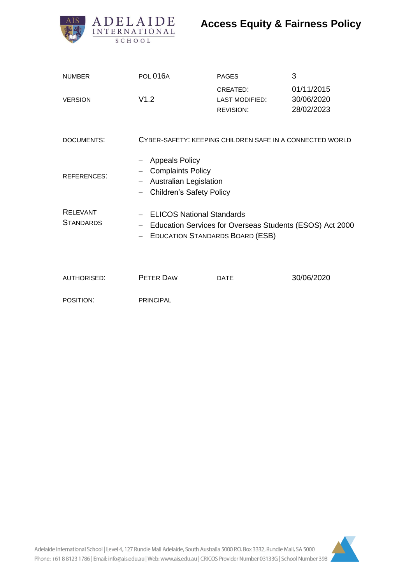

# **Access Equity & Fairness Policy**

| <b>NUMBER</b>                       | <b>POL 016A</b>                                                                                                                                          | <b>PAGES</b>                                          | 3                                      |
|-------------------------------------|----------------------------------------------------------------------------------------------------------------------------------------------------------|-------------------------------------------------------|----------------------------------------|
| <b>VERSION</b>                      | V1.2                                                                                                                                                     | CREATED:<br><b>LAST MODIFIED:</b><br><b>REVISION:</b> | 01/11/2015<br>30/06/2020<br>28/02/2023 |
| <b>DOCUMENTS:</b>                   | CYBER-SAFETY: KEEPING CHILDREN SAFE IN A CONNECTED WORLD                                                                                                 |                                                       |                                        |
| <b>REFERENCES:</b>                  | <b>Appeals Policy</b><br><b>Complaints Policy</b><br><b>Australian Legislation</b><br><b>Children's Safety Policy</b>                                    |                                                       |                                        |
| <b>RELEVANT</b><br><b>STANDARDS</b> | - ELICOS National Standards<br>Education Services for Overseas Students (ESOS) Act 2000<br>$\overline{\phantom{0}}$<br>- EDUCATION STANDARDS BOARD (ESB) |                                                       |                                        |
| <b>AUTHORISED:</b>                  | <b>PETER DAW</b>                                                                                                                                         | <b>DATE</b>                                           | 30/06/2020                             |
| POSITION:                           | <b>PRINCIPAL</b>                                                                                                                                         |                                                       |                                        |

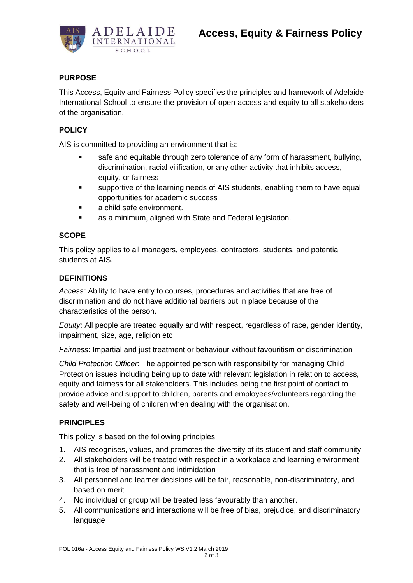

# **PURPOSE**

This Access, Equity and Fairness Policy specifies the principles and framework of Adelaide International School to ensure the provision of open access and equity to all stakeholders of the organisation.

#### **POLICY**

AIS is committed to providing an environment that is:

- safe and equitable through zero tolerance of any form of harassment, bullying, discrimination, racial vilification, or any other activity that inhibits access, equity, or fairness
- supportive of the learning needs of AIS students, enabling them to have equal opportunities for academic success
- a child safe environment.
- as a minimum, aligned with State and Federal legislation.

#### **SCOPE**

This policy applies to all managers, employees, contractors, students, and potential students at AIS.

#### **DEFINITIONS**

*Access:* Ability to have entry to courses, procedures and activities that are free of discrimination and do not have additional barriers put in place because of the characteristics of the person.

*Equity*: All people are treated equally and with respect, regardless of race, gender identity, impairment, size, age, religion etc

*Fairness*: Impartial and just treatment or behaviour without favouritism or discrimination

*Child Protection Officer*: The appointed person with responsibility for managing Child Protection issues including being up to date with relevant legislation in relation to access, equity and fairness for all stakeholders. This includes being the first point of contact to provide advice and support to children, parents and employees/volunteers regarding the safety and well-being of children when dealing with the organisation.

## **PRINCIPLES**

This policy is based on the following principles:

- 1. AIS recognises, values, and promotes the diversity of its student and staff community
- 2. All stakeholders will be treated with respect in a workplace and learning environment that is free of harassment and intimidation
- 3. All personnel and learner decisions will be fair, reasonable, non-discriminatory, and based on merit
- 4. No individual or group will be treated less favourably than another.
- 5. All communications and interactions will be free of bias, prejudice, and discriminatory language